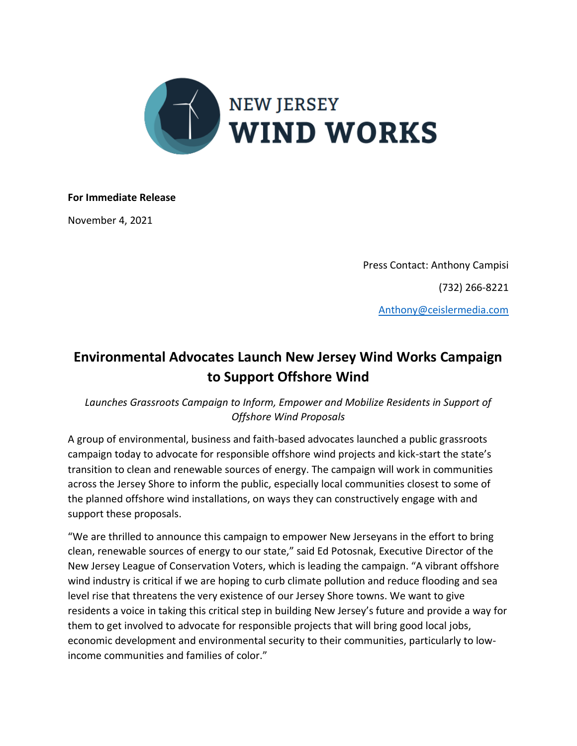

## **For Immediate Release**

November 4, 2021

Press Contact: Anthony Campisi (732) 266-8221 [Anthony@ceislermedia.com](mailto:Anthony@ceislermedia.com)

## **Environmental Advocates Launch New Jersey Wind Works Campaign to Support Offshore Wind**

Launches Grassroots Campaign to Inform, Empower and Mobilize Residents in Support of *Offshore Wind Proposals*

A group of environmental, business and faith-based advocates launched a public grassroots campaign today to advocate for responsible offshore wind projects and kick-start the state's transition to clean and renewable sources of energy. The campaign will work in communities across the Jersey Shore to inform the public, especially local communities closest to some of the planned offshore wind installations, on ways they can constructively engage with and support these proposals.

"We are thrilled to announce this campaign to empower New Jerseyans in the effort to bring clean, renewable sources of energy to our state," said Ed Potosnak, Executive Director of the New Jersey League of Conservation Voters, which is leading the campaign. "A vibrant offshore wind industry is critical if we are hoping to curb climate pollution and reduce flooding and sea level rise that threatens the very existence of our Jersey Shore towns. We want to give residents a voice in taking this critical step in building New Jersey's future and provide a way for them to get involved to advocate for responsible projects that will bring good local jobs, economic development and environmental security to their communities, particularly to lowincome communities and families of color."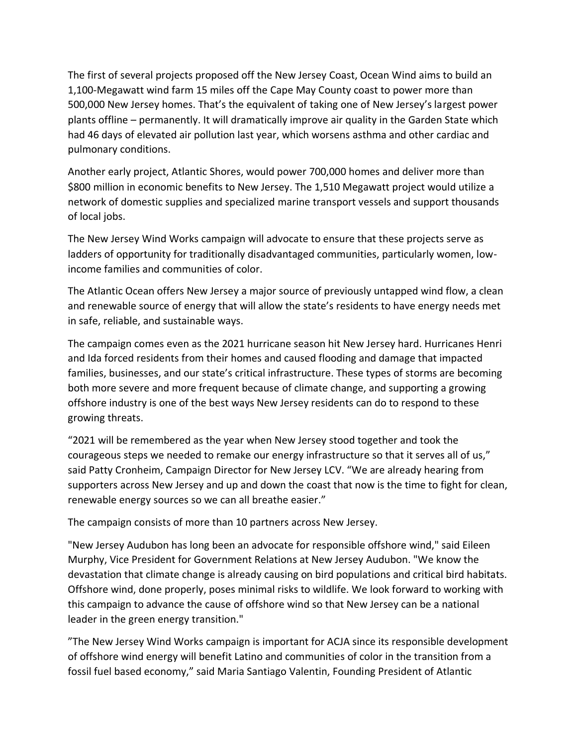The first of several projects proposed off the New Jersey Coast, Ocean Wind aims to build an 1,100-Megawatt wind farm 15 miles off the Cape May County coast to power more than 500,000 New Jersey homes. That's the equivalent of taking one of New Jersey's largest power plants offline – permanently. It will dramatically improve air quality in the Garden State which had 46 days of elevated air pollution last year, which worsens asthma and other cardiac and pulmonary conditions.

Another early project, Atlantic Shores, would power 700,000 homes and deliver more than \$800 million in economic benefits to New Jersey. The 1,510 Megawatt project would utilize a network of domestic supplies and specialized marine transport vessels and support thousands of local jobs.

The New Jersey Wind Works campaign will advocate to ensure that these projects serve as ladders of opportunity for traditionally disadvantaged communities, particularly women, lowincome families and communities of color.

The Atlantic Ocean offers New Jersey a major source of previously untapped wind flow, a clean and renewable source of energy that will allow the state's residents to have energy needs met in safe, reliable, and sustainable ways.

The campaign comes even as the 2021 hurricane season hit New Jersey hard. Hurricanes Henri and Ida forced residents from their homes and caused flooding and damage that impacted families, businesses, and our state's critical infrastructure. These types of storms are becoming both more severe and more frequent because of climate change, and supporting a growing offshore industry is one of the best ways New Jersey residents can do to respond to these growing threats.

"2021 will be remembered as the year when New Jersey stood together and took the courageous steps we needed to remake our energy infrastructure so that it serves all of us," said Patty Cronheim, Campaign Director for New Jersey LCV. "We are already hearing from supporters across New Jersey and up and down the coast that now is the time to fight for clean, renewable energy sources so we can all breathe easier."

The campaign consists of more than 10 partners across New Jersey.

"New Jersey Audubon has long been an advocate for responsible offshore wind," said Eileen Murphy, Vice President for Government Relations at New Jersey Audubon. "We know the devastation that climate change is already causing on bird populations and critical bird habitats. Offshore wind, done properly, poses minimal risks to wildlife. We look forward to working with this campaign to advance the cause of offshore wind so that New Jersey can be a national leader in the green energy transition."

"The New Jersey Wind Works campaign is important for ACJA since its responsible development of offshore wind energy will benefit Latino and communities of color in the transition from a fossil fuel based economy," said Maria Santiago Valentin, Founding President of Atlantic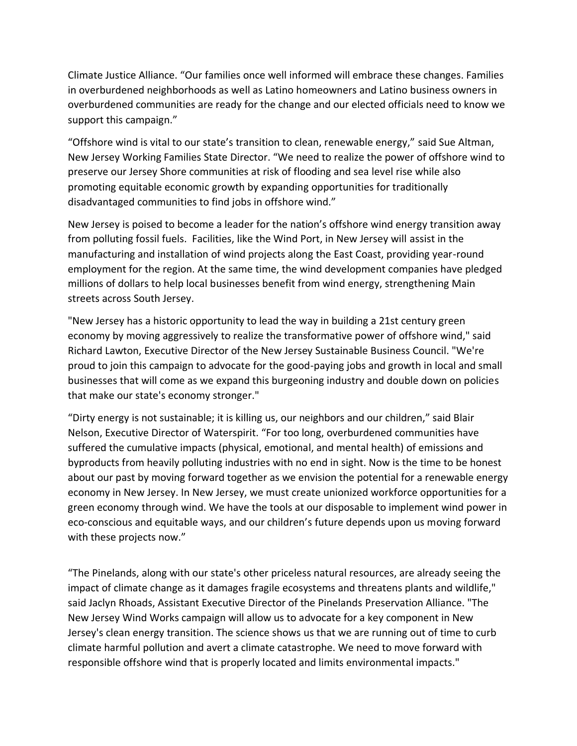Climate Justice Alliance. "Our families once well informed will embrace these changes. Families in overburdened neighborhoods as well as Latino homeowners and Latino business owners in overburdened communities are ready for the change and our elected officials need to know we support this campaign."

"Offshore wind is vital to our state's transition to clean, renewable energy," said Sue Altman, New Jersey Working Families State Director. "We need to realize the power of offshore wind to preserve our Jersey Shore communities at risk of flooding and sea level rise while also promoting equitable economic growth by expanding opportunities for traditionally disadvantaged communities to find jobs in offshore wind."

New Jersey is poised to become a leader for the nation's offshore wind energy transition away from polluting fossil fuels. Facilities, like the Wind Port, in New Jersey will assist in the manufacturing and installation of wind projects along the East Coast, providing year-round employment for the region. At the same time, the wind development companies have pledged millions of dollars to help local businesses benefit from wind energy, strengthening Main streets across South Jersey.

"New Jersey has a historic opportunity to lead the way in building a 21st century green economy by moving aggressively to realize the transformative power of offshore wind," said Richard Lawton, Executive Director of the New Jersey Sustainable Business Council. "We're proud to join this campaign to advocate for the good-paying jobs and growth in local and small businesses that will come as we expand this burgeoning industry and double down on policies that make our state's economy stronger."

"Dirty energy is not sustainable; it is killing us, our neighbors and our children," said Blair Nelson, Executive Director of Waterspirit. "For too long, overburdened communities have suffered the cumulative impacts (physical, emotional, and mental health) of emissions and byproducts from heavily polluting industries with no end in sight. Now is the time to be honest about our past by moving forward together as we envision the potential for a renewable energy economy in New Jersey. In New Jersey, we must create unionized workforce opportunities for a green economy through wind. We have the tools at our disposable to implement wind power in eco-conscious and equitable ways, and our children's future depends upon us moving forward with these projects now."

"The Pinelands, along with our state's other priceless natural resources, are already seeing the impact of climate change as it damages fragile ecosystems and threatens plants and wildlife," said Jaclyn Rhoads, Assistant Executive Director of the Pinelands Preservation Alliance. "The New Jersey Wind Works campaign will allow us to advocate for a key component in New Jersey's clean energy transition. The science shows us that we are running out of time to curb climate harmful pollution and avert a climate catastrophe. We need to move forward with responsible offshore wind that is properly located and limits environmental impacts."